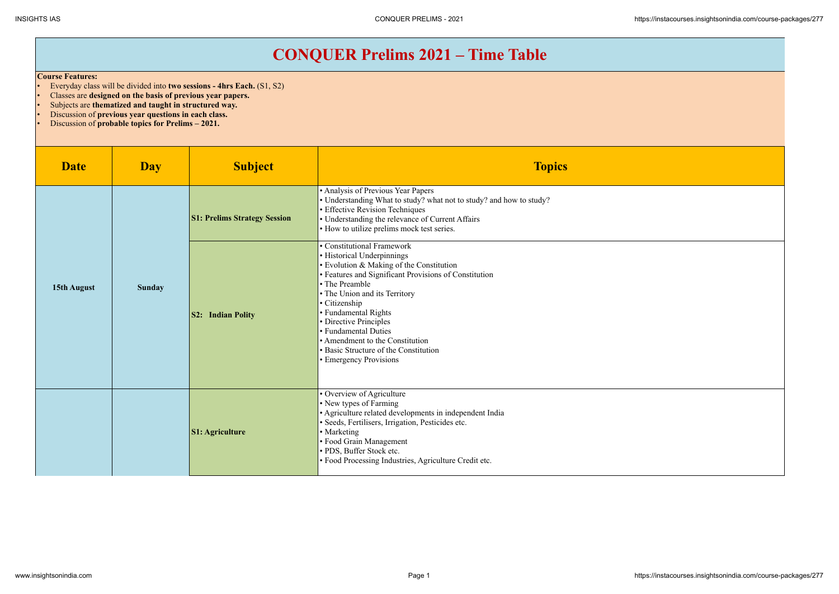## **CONQUER Prelims 2021 – Time Table**

## **Course Features:**

- Everyday class will be divided into **two sessions 4hrs Each.** (S1, S2)
- Classes are **designed on the basis of previous year papers.**
- Subjects are **thematized and taught in structured way.**
- Discussion of **previous year questions in each class.**
- Discussion of **probable topics for Prelims 2021.**

| <b>Date</b> | <b>Day</b>    | <b>Subject</b>                      | <b>Topics</b>                                                                                                                                                                                                                                                                                                                                                                                                     |
|-------------|---------------|-------------------------------------|-------------------------------------------------------------------------------------------------------------------------------------------------------------------------------------------------------------------------------------------------------------------------------------------------------------------------------------------------------------------------------------------------------------------|
| 15th August | <b>Sunday</b> | <b>S1: Prelims Strategy Session</b> | • Analysis of Previous Year Papers<br>• Understanding What to study? what not to study? and how to study?<br>• Effective Revision Techniques<br>• Understanding the relevance of Current Affairs<br>• How to utilize prelims mock test series.                                                                                                                                                                    |
|             |               | <b>S2: Indian Polity</b>            | • Constitutional Framework<br>• Historical Underpinnings<br>• Evolution & Making of the Constitution<br>• Features and Significant Provisions of Constitution<br>• The Preamble<br>• The Union and its Territory<br>• Citizenship<br>• Fundamental Rights<br>• Directive Principles<br>• Fundamental Duties<br>• Amendment to the Constitution<br>• Basic Structure of the Constitution<br>• Emergency Provisions |
|             |               | <b>S1: Agriculture</b>              | · Overview of Agriculture<br>• New types of Farming<br>• Agriculture related developments in independent India<br>· Seeds, Fertilisers, Irrigation, Pesticides etc.<br>• Marketing<br>• Food Grain Management<br>· PDS, Buffer Stock etc.<br>· Food Processing Industries, Agriculture Credit etc.                                                                                                                |

INSIGHTS IAS CONQUER PRELIMS - 2021 https://instacourses.insightsonindia.com/course-packages/277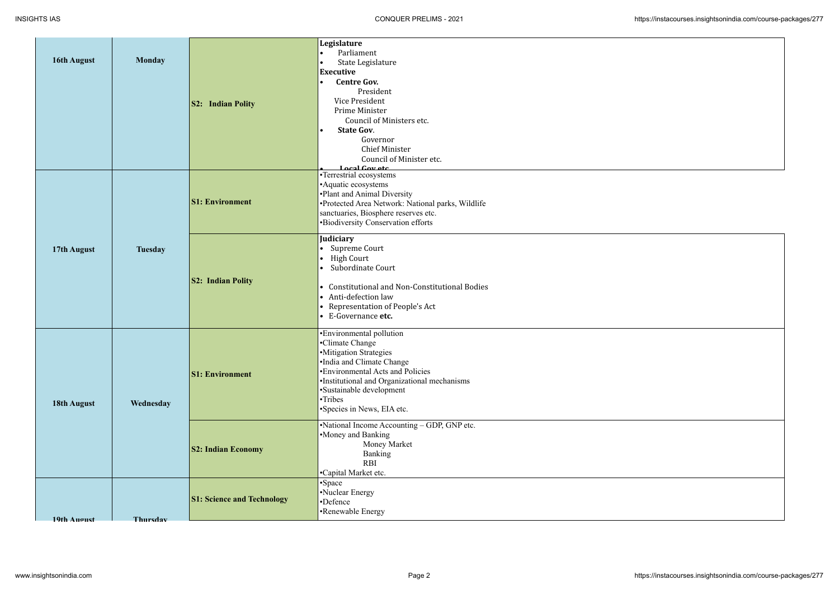| 16th August | <b>Monday</b>  | <b>S2:</b> Indian Polity          | Legislature<br>Parliament<br>State Legislature<br>$\bullet$<br><b>Executive</b><br><b>Centre Gov.</b><br>$\bullet$<br>President<br>Vice President<br>Prime Minister<br>Council of Ministers etc.<br><b>State Gov.</b><br>$\bullet$<br>Governor<br><b>Chief Minister</b><br>Council of Minister etc.<br>Local Covetc |
|-------------|----------------|-----------------------------------|---------------------------------------------------------------------------------------------------------------------------------------------------------------------------------------------------------------------------------------------------------------------------------------------------------------------|
| 17th August | <b>Tuesday</b> | <b>S1: Environment</b>            | •Terrestrial ecosystems<br>• Aquatic ecosystems<br>•Plant and Animal Diversity<br>•Protected Area Network: National parks, Wildlife<br>sanctuaries, Biosphere reserves etc.<br>•Biodiversity Conservation efforts                                                                                                   |
|             |                | <b>S2: Indian Polity</b>          | Judiciary<br>Supreme Court<br><b>High Court</b><br>$\bullet$<br>Subordinate Court<br>$\bullet$<br>• Constitutional and Non-Constitutional Bodies<br>• Anti-defection law<br>• Representation of People's Act<br>• E-Governance etc.                                                                                 |
| 18th August | Wednesday      | <b>S1: Environment</b>            | •Environmental pollution<br>•Climate Change<br>·Mitigation Strategies<br>•India and Climate Change<br>•Environmental Acts and Policies<br>•Institutional and Organizational mechanisms<br>•Sustainable development<br>•Tribes<br>•Species in News, EIA etc.                                                         |
|             |                | <b>S2: Indian Economy</b>         | •National Income Accounting – GDP, GNP etc.<br>•Money and Banking<br>Money Market<br><b>Banking</b><br><b>RBI</b><br>•Capital Market etc.                                                                                                                                                                           |
| 19th Anonst | Thursday       | <b>S1: Science and Technology</b> | Space<br>•Nuclear Energy<br>•Defence<br>•Renewable Energy                                                                                                                                                                                                                                                           |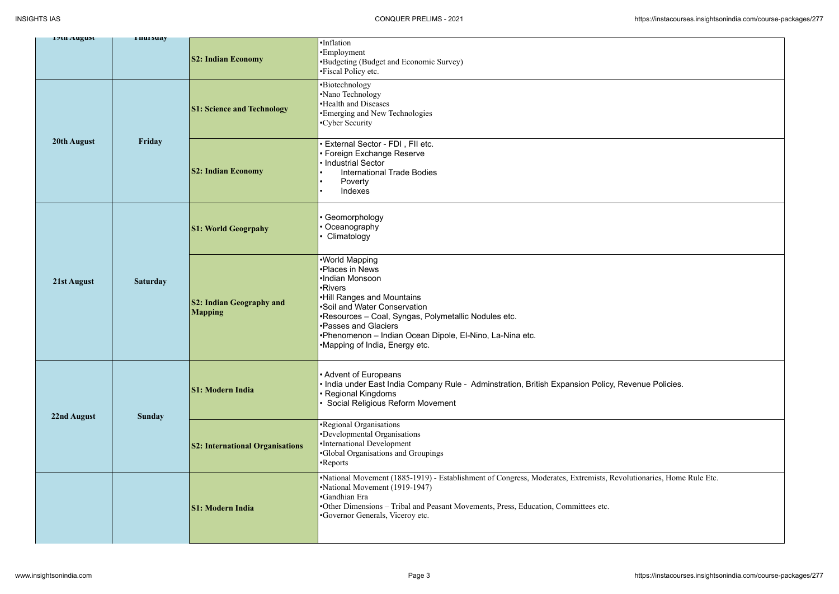| 17th August |                 |                                                   |                                                                                                                                                                                                                                                                                                             |
|-------------|-----------------|---------------------------------------------------|-------------------------------------------------------------------------------------------------------------------------------------------------------------------------------------------------------------------------------------------------------------------------------------------------------------|
|             | <b>THUTSUAY</b> | <b>S2: Indian Economy</b>                         | ·Inflation<br>•Employment<br>•Budgeting (Budget and Economic Survey)<br>•Fiscal Policy etc.                                                                                                                                                                                                                 |
| 20th August | Friday          | <b>S1: Science and Technology</b>                 | •Biotechnology<br>•Nano Technology<br>•Health and Diseases<br>•Emerging and New Technologies<br>•Cyber Security                                                                                                                                                                                             |
|             |                 | <b>S2: Indian Economy</b>                         | · External Sector - FDI, FII etc.<br>• Foreign Exchange Reserve<br>• Industrial Sector<br><b>International Trade Bodies</b><br>Poverty<br>Indexes                                                                                                                                                           |
| 21st August | <b>Saturday</b> | <b>S1: World Geogrpahy</b>                        | • Geomorphology<br>• Oceanography<br>• Climatology                                                                                                                                                                                                                                                          |
|             |                 | <b>S2: Indian Geography and</b><br><b>Mapping</b> | •World Mapping<br>•Places in News<br>·Indian Monsoon<br>•Rivers<br>.Hill Ranges and Mountains<br>•Soil and Water Conservation<br>•Resources - Coal, Syngas, Polymetallic Nodules etc.<br>•Passes and Glaciers<br>•Phenomenon - Indian Ocean Dipole, El-Nino, La-Nina etc.<br>•Mapping of India, Energy etc. |
| 22nd August | <b>Sunday</b>   | <b>S1: Modern India</b>                           | • Advent of Europeans<br>• India under East India Company Rule - Adminstration, British Expansion Policy, Revenue Policies.<br>• Regional Kingdoms<br>· Social Religious Reform Movement                                                                                                                    |
|             |                 | <b>S2: International Organisations</b>            | •Regional Organisations<br>•Developmental Organisations<br>•International Development<br><b>.</b> Global Organisations and Groupings<br>•Reports                                                                                                                                                            |
|             |                 | <b>S1: Modern India</b>                           | •National Movement (1885-1919) - Establishment of Congress, Moderates, Extremists, Revolutionaries, Home Rule Etc.<br>•National Movement (1919-1947)<br>•Gandhian Era<br>•Other Dimensions - Tribal and Peasant Movements, Press, Education, Committees etc.<br>•Governor Generals, Viceroy etc.            |

| venue Policies.             |
|-----------------------------|
|                             |
| lutionaries, Home Rule Etc. |
|                             |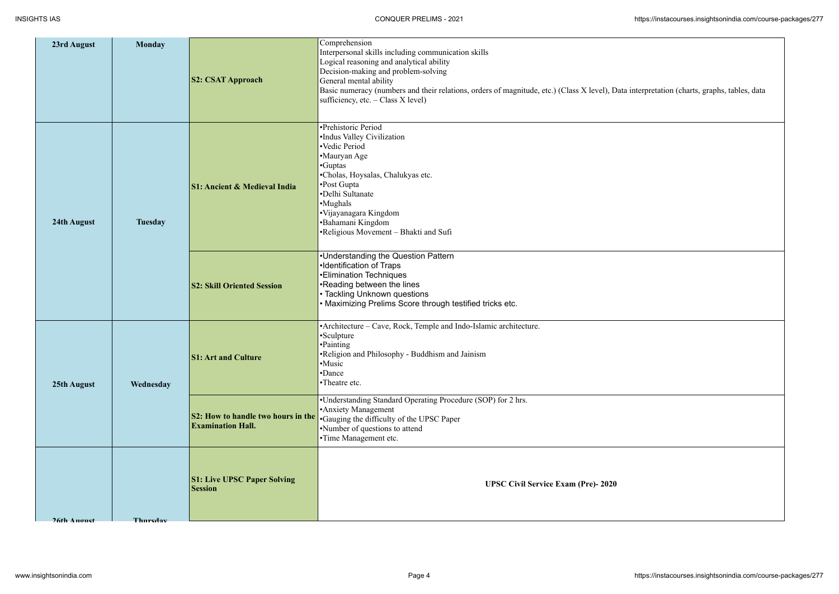

| 23rd August | <b>Monday</b>  |                                                                | Comprehension                                                                                                                                                                                                                                                                                             |
|-------------|----------------|----------------------------------------------------------------|-----------------------------------------------------------------------------------------------------------------------------------------------------------------------------------------------------------------------------------------------------------------------------------------------------------|
|             |                | <b>S2: CSAT Approach</b>                                       | Interpersonal skills including communication skills<br>Logical reasoning and analytical ability<br>Decision-making and problem-solving<br>General mental ability<br>Basic numeracy (numbers and their relations, orders of magnitude, etc.) (Class X level), Data<br>sufficiency, etc. $-$ Class X level) |
| 24th August | <b>Tuesday</b> | <b>S1: Ancient &amp; Medieval India</b>                        | •Prehistoric Period<br>•Indus Valley Civilization<br>•Vedic Period<br>•Mauryan Age<br>•Guptas<br>•Cholas, Hoysalas, Chalukyas etc.<br>•Post Gupta<br>•Delhi Sultanate<br>•Mughals<br>·Vijayanagara Kingdom<br>•Bahamani Kingdom<br>•Religious Movement - Bhakti and Sufi                                  |
| 25th August | Wednesday      | <b>S2: Skill Oriented Session</b>                              | •Understanding the Question Pattern<br>•Identification of Traps<br><b>•Elimination Techniques</b><br>•Reading between the lines<br>• Tackling Unknown questions<br>• Maximizing Prelims Score through testified tricks etc.                                                                               |
|             |                | <b>S1: Art and Culture</b>                                     | •Architecture – Cave, Rock, Temple and Indo-Islamic architecture.<br>•Sculpture<br>•Painting<br>•Religion and Philosophy - Buddhism and Jainism<br>•Music<br>•Dance<br>•Theatre etc.                                                                                                                      |
|             |                | S2: How to handle two hours in the<br><b>Examination Hall.</b> | •Understanding Standard Operating Procedure (SOP) for 2 hrs.<br>• Anxiety Management<br>•Gauging the difficulty of the UPSC Paper<br>•Number of questions to attend<br>•Time Management etc.                                                                                                              |
| 26th August | Thuredow       | <b>S1: Live UPSC Paper Solving</b><br><b>Session</b>           | <b>UPSC Civil Service Exam (Pre)-2020</b>                                                                                                                                                                                                                                                                 |
|             |                |                                                                |                                                                                                                                                                                                                                                                                                           |